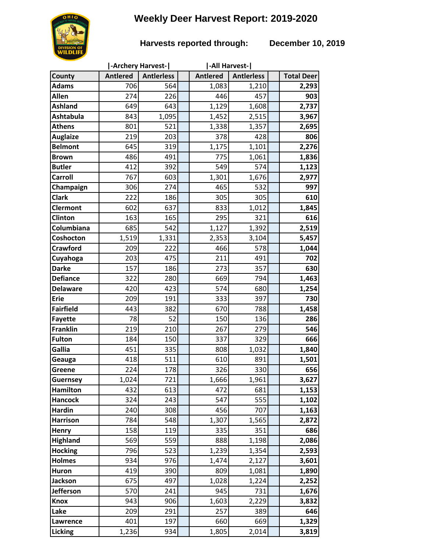# **Weekly Deer Harvest Report: 2019-2020**

## **Harvests reported through: December 10, 2019**

|                           | -Archery Harvest- |                   |  | -All Harvest-   |                   |  |                   |
|---------------------------|-------------------|-------------------|--|-----------------|-------------------|--|-------------------|
| County                    | <b>Antlered</b>   | <b>Antlerless</b> |  | <b>Antlered</b> | <b>Antierless</b> |  | <b>Total Deer</b> |
| <b>Adams</b>              | 706               | 564               |  | 1,083           | 1,210             |  | 2,293             |
| Allen                     | 274               | 226               |  | 446             | 457               |  | 903               |
| <b>Ashland</b>            | 649               | 643               |  | 1,129           | 1,608             |  | 2,737             |
| <b>Ashtabula</b>          | 843               | 1,095             |  | 1,452           | 2,515             |  | 3,967             |
| <b>Athens</b>             | 801               | 521               |  | 1,338           | 1,357             |  | 2,695             |
| <b>Auglaize</b>           | 219               | 203               |  | 378             | 428               |  | 806               |
| <b>Belmont</b>            | 645               | 319               |  | 1,175           | 1,101             |  | 2,276             |
| <b>Brown</b>              | 486               | 491               |  | 775             | 1,061             |  | 1,836             |
| <b>Butler</b>             | 412               | 392               |  | 549             | 574               |  | 1,123             |
| Carroll                   | 767               | 603               |  | 1,301           | 1,676             |  | 2,977             |
| Champaign                 | 306               | 274               |  | 465             | 532               |  | 997               |
| <b>Clark</b>              | 222               | 186               |  | 305             | 305               |  | 610               |
| <b>Clermont</b>           | 602               | 637               |  | 833             | 1,012             |  | 1,845             |
| Clinton                   | 163               | 165               |  | 295             | 321               |  | 616               |
| Columbiana                | 685               | 542               |  | 1,127           | 1,392             |  | 2,519             |
| Coshocton                 | 1,519             | 1,331             |  | 2,353           | 3,104             |  | 5,457             |
| <b>Crawford</b>           | 209               | 222               |  | 466             | 578               |  | 1,044             |
| Cuyahoga                  | 203               | 475               |  | 211             | 491               |  | 702               |
| <b>Darke</b>              | 157               | 186               |  | 273             | 357               |  | 630               |
| <b>Defiance</b>           | 322               | 280               |  | 669             | 794               |  | 1,463             |
| <b>Delaware</b>           | 420               | 423               |  | 574             | 680               |  | 1,254             |
| Erie                      | 209               | 191               |  | 333             | 397               |  | 730               |
| <b>Fairfield</b>          | 443               | 382               |  | 670             | 788               |  | 1,458             |
| <b>Fayette</b>            | 78                | 52                |  | 150             | 136               |  | 286               |
| <b>Franklin</b>           | 219               | 210               |  | 267             | 279               |  | 546               |
| <b>Fulton</b>             | 184               | 150               |  | 337             | 329               |  | 666               |
| Gallia                    | 451               | 335               |  | 808             | 1,032             |  | 1,840             |
| Geauga                    | 418<br>224        | 511               |  | 610<br>326      | 891               |  | 1,501<br>656      |
| Greene<br><b>Guernsey</b> | 1,024             | 178<br>721        |  | 1,666           | 330<br>1,961      |  | 3,627             |
| <b>Hamilton</b>           | 432               | 613               |  | 472             | 681               |  | 1,153             |
| <b>Hancock</b>            | 324               | 243               |  | 547             | 555               |  | 1,102             |
| <b>Hardin</b>             | 240               | 308               |  | 456             | 707               |  | 1,163             |
| <b>Harrison</b>           | 784               | 548               |  | 1,307           | 1,565             |  | 2,872             |
| Henry                     | 158               | 119               |  | 335             | 351               |  | 686               |
| <b>Highland</b>           | 569               | 559               |  | 888             | 1,198             |  | 2,086             |
| <b>Hocking</b>            | 796               | 523               |  | 1,239           | 1,354             |  | 2,593             |
| <b>Holmes</b>             | 934               | 976               |  | 1,474           | 2,127             |  | 3,601             |
| Huron                     | 419               | 390               |  | 809             | 1,081             |  | 1,890             |
| <b>Jackson</b>            | 675               | 497               |  | 1,028           | 1,224             |  | 2,252             |
| <b>Jefferson</b>          | 570               | 241               |  | 945             | 731               |  | 1,676             |
| <b>Knox</b>               | 943               | 906               |  | 1,603           | 2,229             |  | 3,832             |
| Lake                      | 209               | 291               |  | 257             | 389               |  | 646               |
| Lawrence                  | 401               | 197               |  | 660             | 669               |  | 1,329             |
| Licking                   | 1,236             | 934               |  | 1,805           | 2,014             |  | 3,819             |